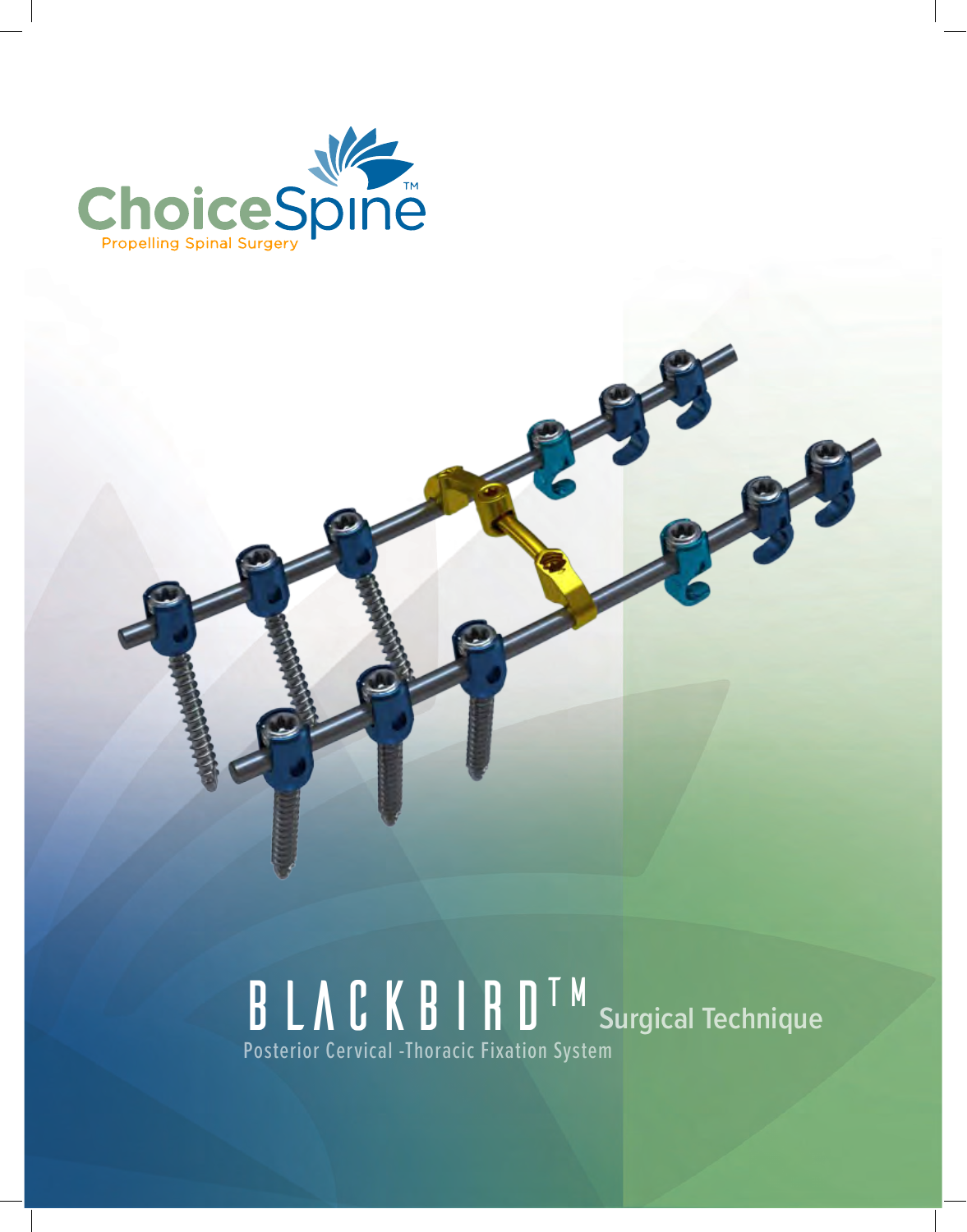

## **BLACKBIRD™** Surgical Technique Posterior Cervical -Thoracic Fixation System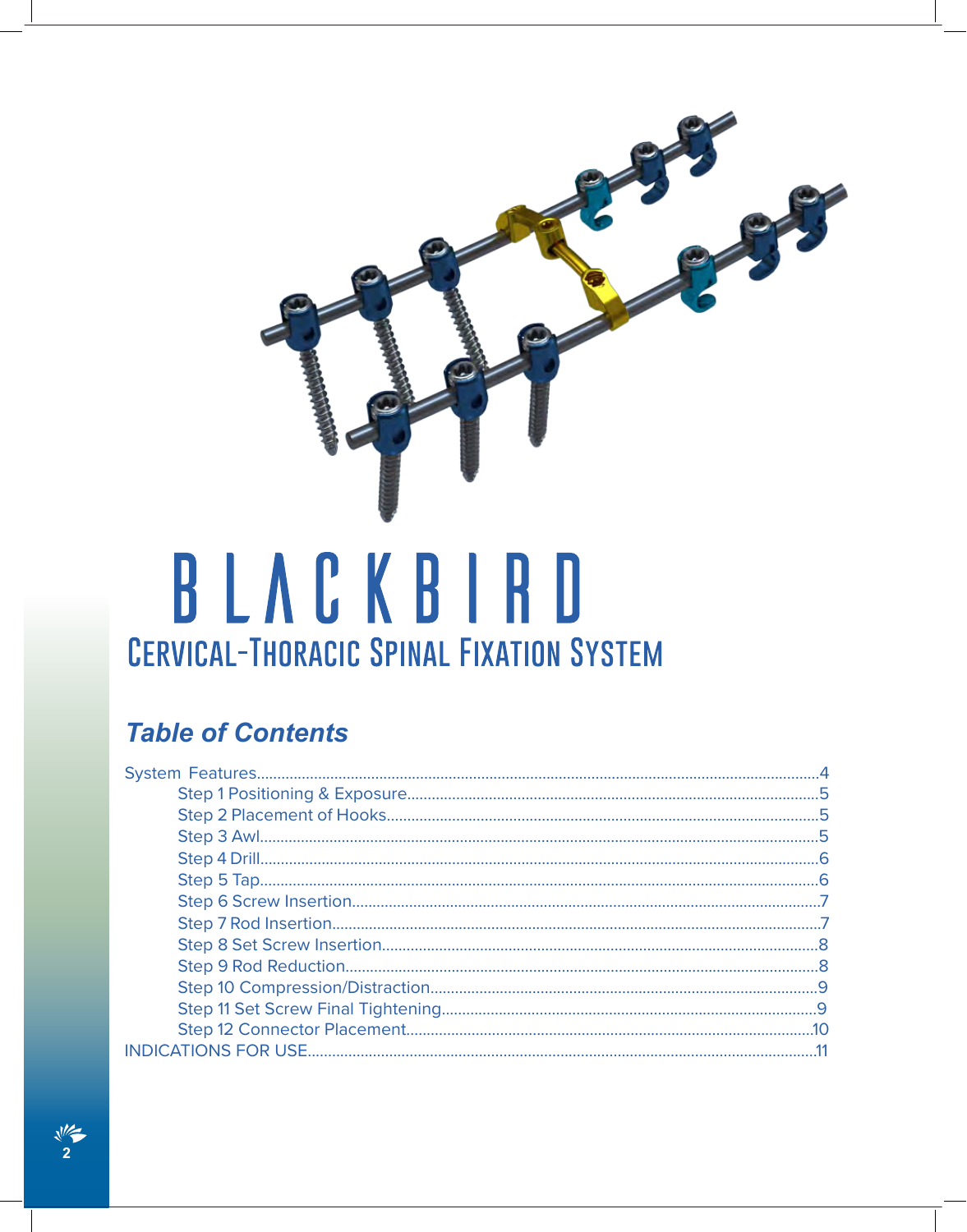

# BLACKBIRD **CERVICAL-THORACIC SPINAL FIXATION SYSTEM**

## **Table of Contents**

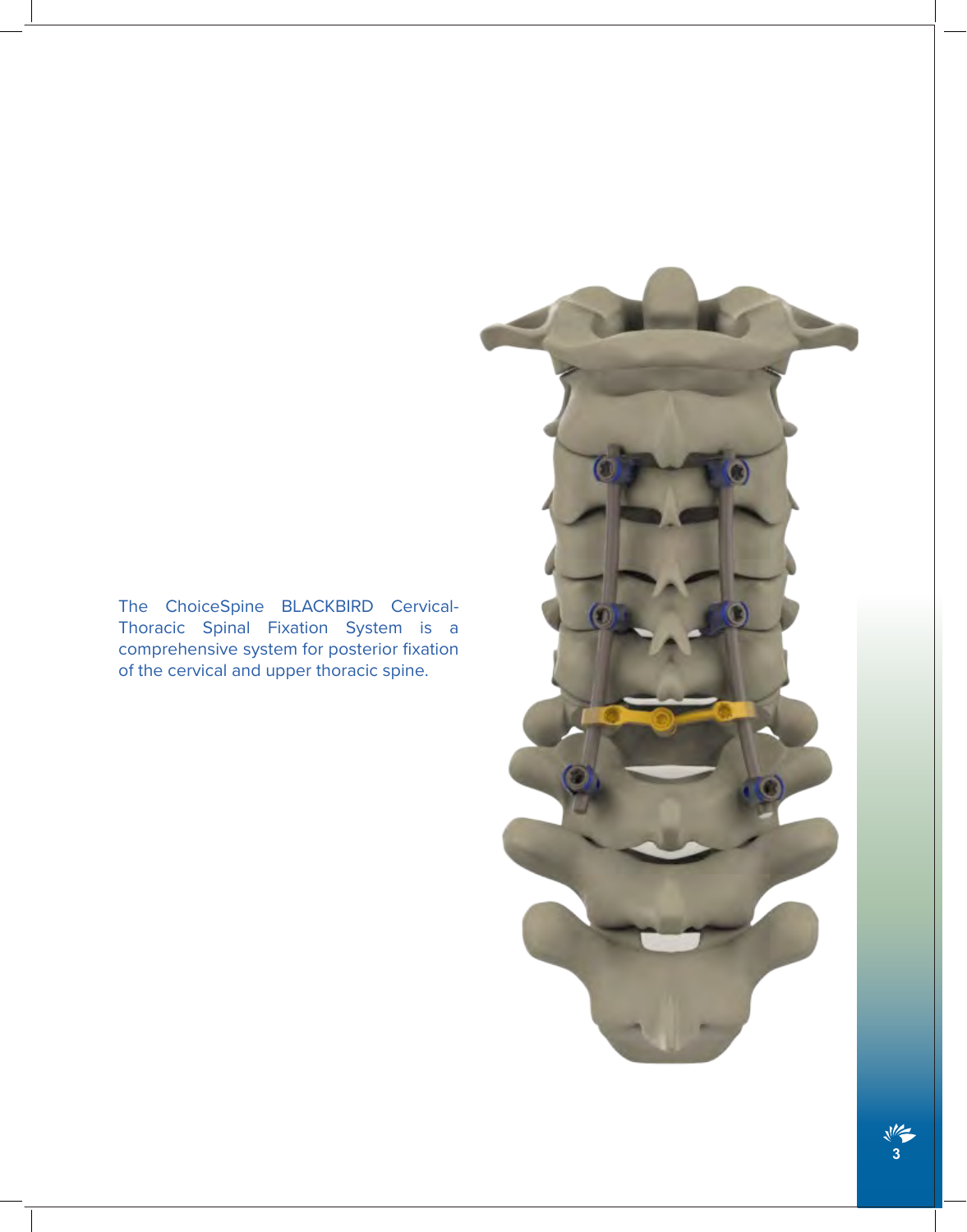#### The ChoiceSpine BLACKBIRD Cervical-Thoracic Spinal Fixation System is a comprehensive system for posterior fixation of the cervical and upper thoracic spine.

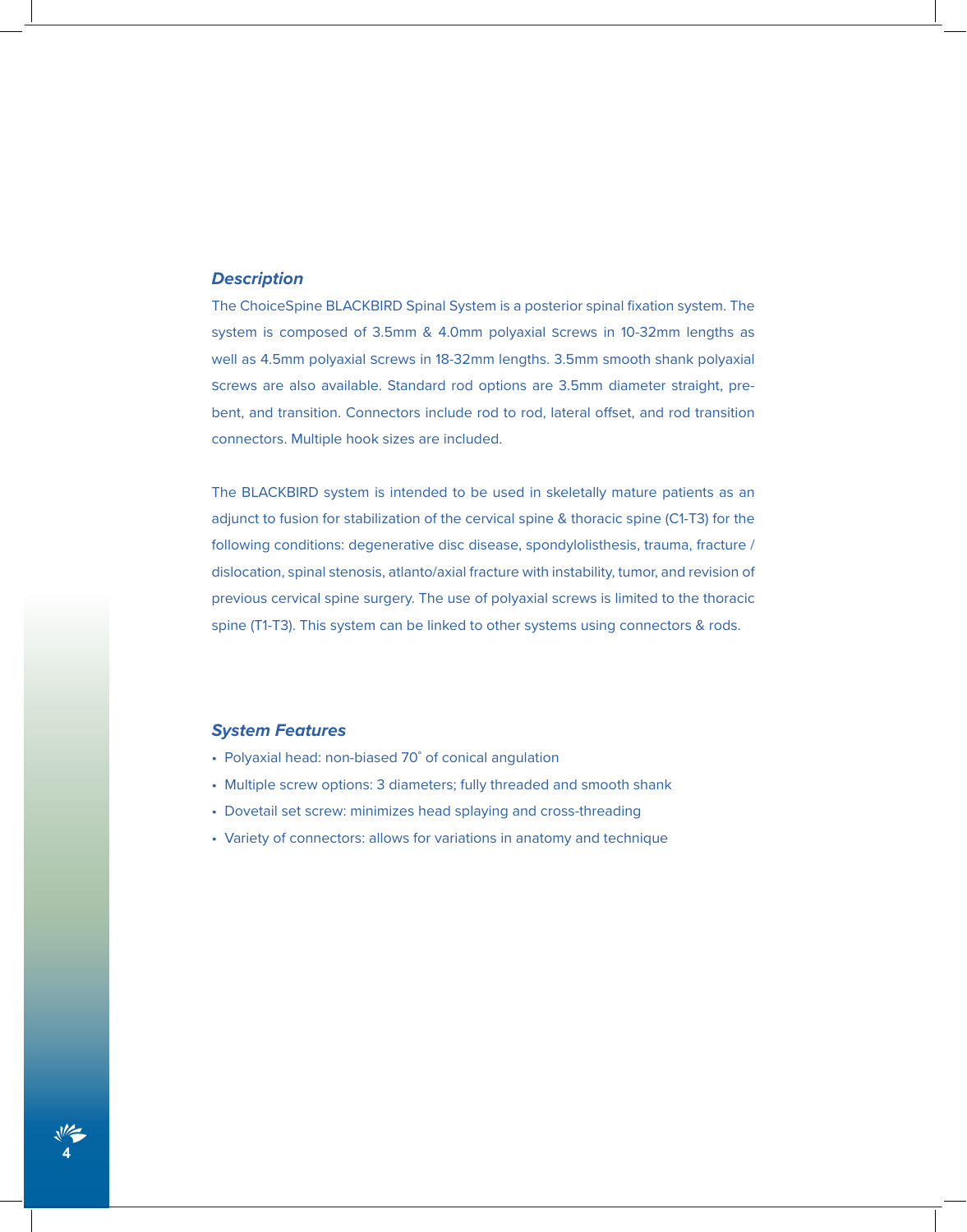#### *Description*

The ChoiceSpine BLACKBIRD Spinal System is a posterior spinal fixation system. The system is composed of 3.5mm & 4.0mm polyaxial screws in 10-32mm lengths as well as 4.5mm polyaxial screws in 18-32mm lengths. 3.5mm smooth shank polyaxial screws are also available. Standard rod options are 3.5mm diameter straight, prebent, and transition. Connectors include rod to rod, lateral offset, and rod transition connectors. Multiple hook sizes are included.

The BLACKBIRD system is intended to be used in skeletally mature patients as an adjunct to fusion for stabilization of the cervical spine & thoracic spine (C1-T3) for the following conditions: degenerative disc disease, spondylolisthesis, trauma, fracture / dislocation, spinal stenosis, atlanto/axial fracture with instability, tumor, and revision of previous cervical spine surgery. The use of polyaxial screws is limited to the thoracic spine (T1-T3). This system can be linked to other systems using connectors & rods.

#### *System Features*

**4**

- Polyaxial head: non-biased 70˚ of conical angulation
- Multiple screw options: 3 diameters; fully threaded and smooth shank
- Dovetail set screw: minimizes head splaying and cross-threading
- Variety of connectors: allows for variations in anatomy and technique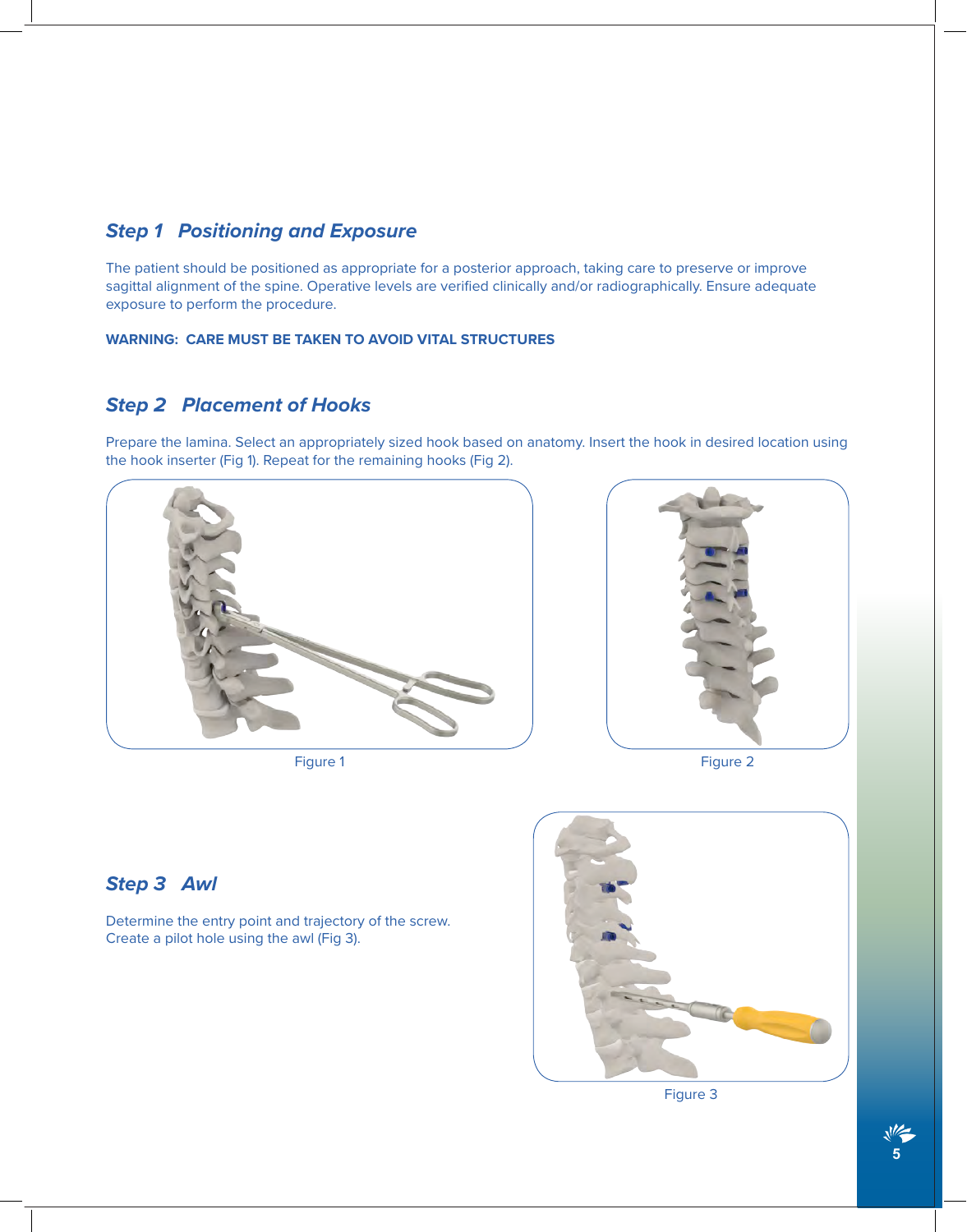#### *Step 1 Positioning and Exposure*

The patient should be positioned as appropriate for a posterior approach, taking care to preserve or improve sagittal alignment of the spine. Operative levels are verified clinically and/or radiographically. Ensure adequate exposure to perform the procedure.

#### **WARNING: CARE MUST BE TAKEN TO AVOID VITAL STRUCTURES**

#### *Step 2 Placement of Hooks*

Prepare the lamina. Select an appropriately sized hook based on anatomy. Insert the hook in desired location using the hook inserter (Fig 1). Repeat for the remaining hooks (Fig 2).



Figure 1 **Figure 1** Figure 2



#### *Step 3 Awl*

Determine the entry point and trajectory of the screw. Create a pilot hole using the awl (Fig 3).



Figure 3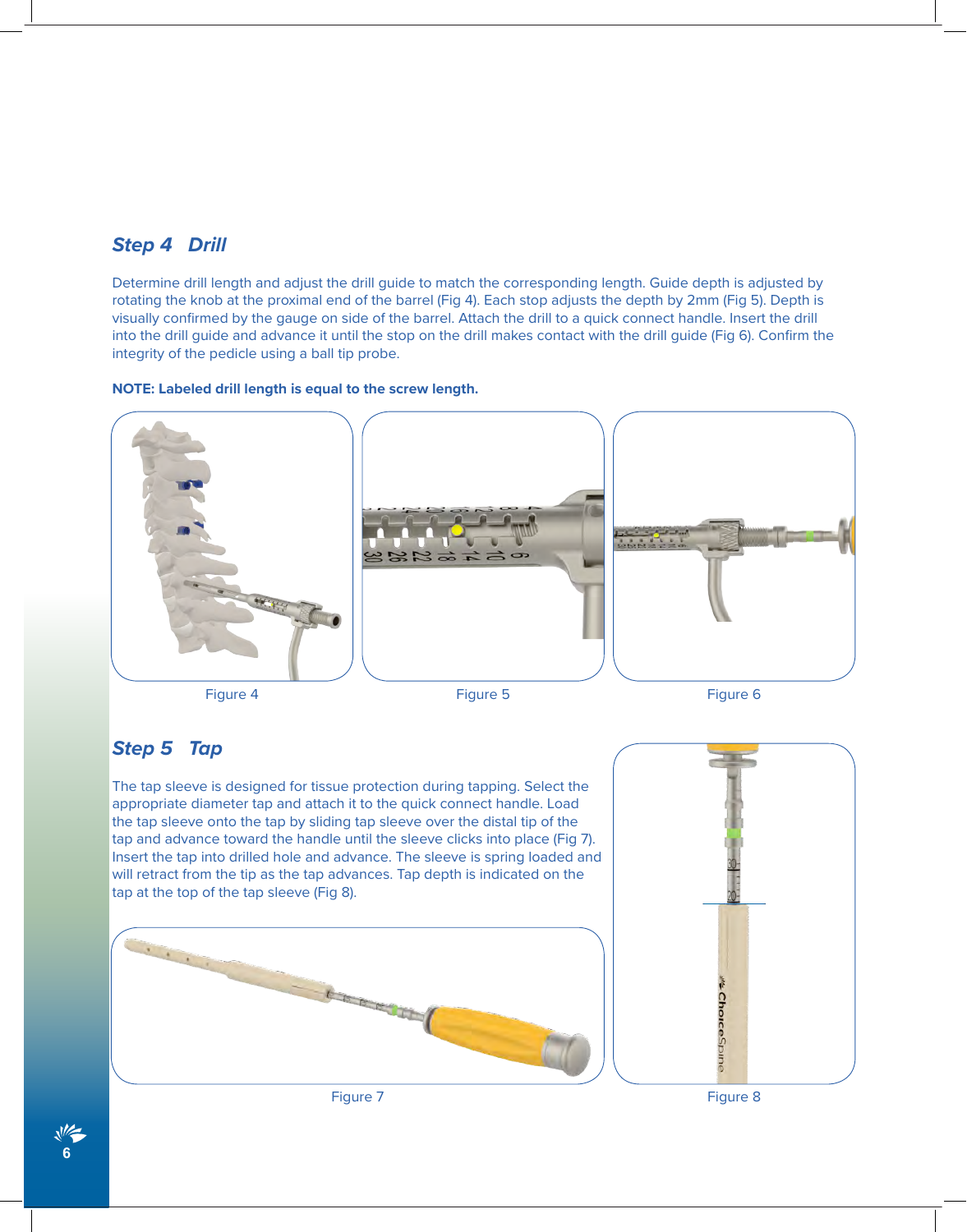#### *Step 4 Drill*

Determine drill length and adjust the drill guide to match the corresponding length. Guide depth is adjusted by rotating the knob at the proximal end of the barrel (Fig 4). Each stop adjusts the depth by 2mm (Fig 5). Depth is visually confirmed by the gauge on side of the barrel. Attach the drill to a quick connect handle. Insert the drill into the drill guide and advance it until the stop on the drill makes contact with the drill guide (Fig 6). Confirm the integrity of the pedicle using a ball tip probe.

#### **NOTE: Labeled drill length is equal to the screw length.**



#### *Step 5 Tap*

The tap sleeve is designed for tissue protection during tapping. Select the appropriate diameter tap and attach it to the quick connect handle. Load the tap sleeve onto the tap by sliding tap sleeve over the distal tip of the tap and advance toward the handle until the sleeve clicks into place (Fig 7). Insert the tap into drilled hole and advance. The sleeve is spring loaded and will retract from the tip as the tap advances. Tap depth is indicated on the tap at the top of the tap sleeve (Fig 8).







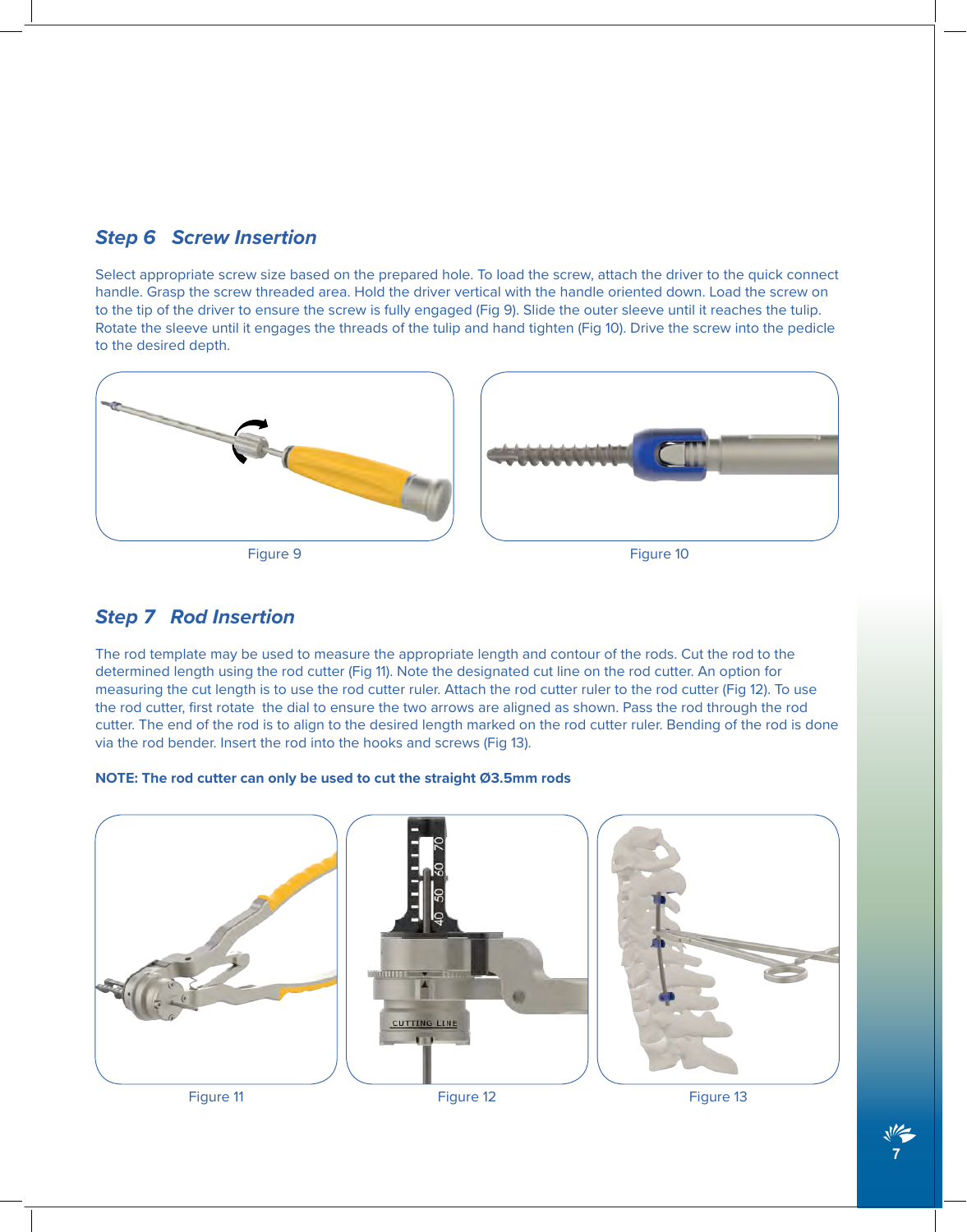### *Step 6 Screw Insertion*

Select appropriate screw size based on the prepared hole. To load the screw, attach the driver to the quick connect handle. Grasp the screw threaded area. Hold the driver vertical with the handle oriented down. Load the screw on to the tip of the driver to ensure the screw is fully engaged (Fig 9). Slide the outer sleeve until it reaches the tulip. Rotate the sleeve until it engages the threads of the tulip and hand tighten (Fig 10). Drive the screw into the pedicle to the desired depth.





#### *Step 7 Rod Insertion*

The rod template may be used to measure the appropriate length and contour of the rods. Cut the rod to the determined length using the rod cutter (Fig 11). Note the designated cut line on the rod cutter. An option for measuring the cut length is to use the rod cutter ruler. Attach the rod cutter ruler to the rod cutter (Fig 12). To use the rod cutter, first rotate the dial to ensure the two arrows are aligned as shown. Pass the rod through the rod cutter. The end of the rod is to align to the desired length marked on the rod cutter ruler. Bending of the rod is done via the rod bender. Insert the rod into the hooks and screws (Fig 13).

#### **NOTE: The rod cutter can only be used to cut the straight Ø3.5mm rods**



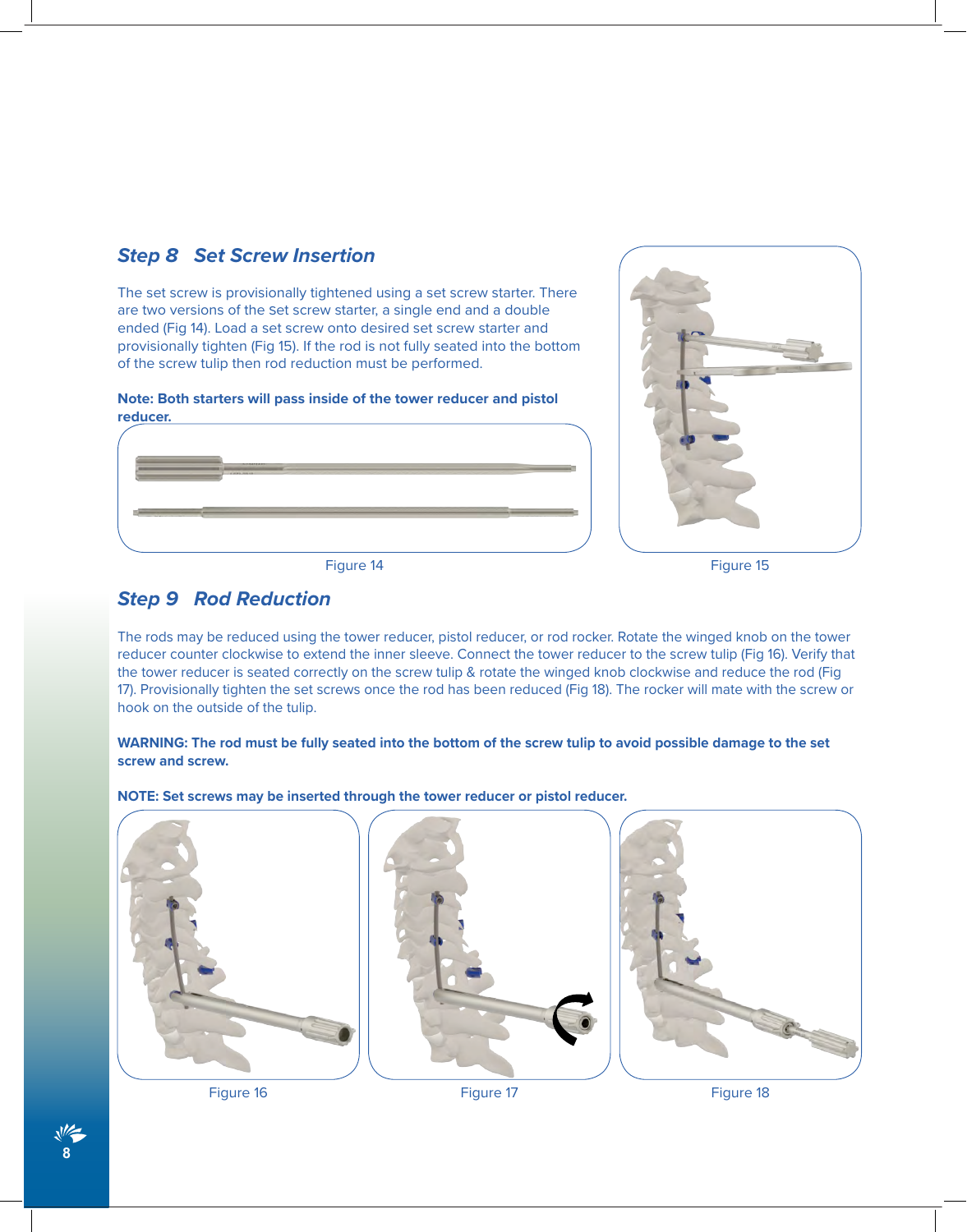



Figure 14 Figure 15

The set screw is provisionally tightened using a set screw starter. There are two versions of the set screw starter, a single end and a double ended (Fig 14). Load a set screw onto desired set screw starter and provisionally tighten (Fig 15). If the rod is not fully seated into the bottom

#### *Step 9 Rod Reduction*

*Step 8 Set Screw Insertion*

The rods may be reduced using the tower reducer, pistol reducer, or rod rocker. Rotate the winged knob on the tower reducer counter clockwise to extend the inner sleeve. Connect the tower reducer to the screw tulip (Fig 16). Verify that the tower reducer is seated correctly on the screw tulip & rotate the winged knob clockwise and reduce the rod (Fig 17). Provisionally tighten the set screws once the rod has been reduced (Fig 18). The rocker will mate with the screw or hook on the outside of the tulip.

#### **WARNING: The rod must be fully seated into the bottom of the screw tulip to avoid possible damage to the set screw and screw.**

**NOTE: Set screws may be inserted through the tower reducer or pistol reducer.**



Figure 16 Figure 17 Figure 18

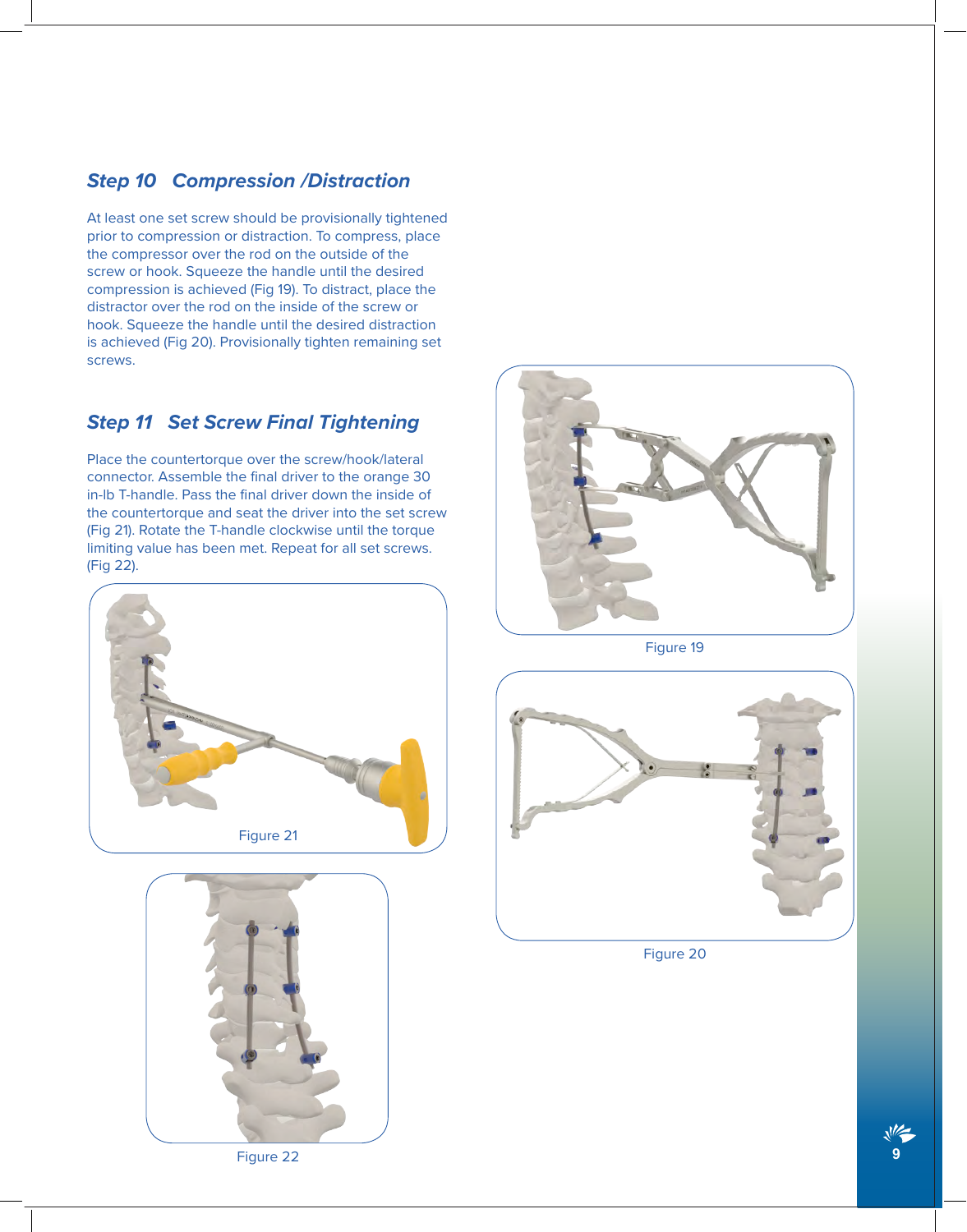#### *Step 10 Compression /Distraction*

At least one set screw should be provisionally tightened prior to compression or distraction. To compress, place the compressor over the rod on the outside of the screw or hook. Squeeze the handle until the desired compression is achieved (Fig 19). To distract, place the distractor over the rod on the inside of the screw or hook. Squeeze the handle until the desired distraction is achieved (Fig 20). Provisionally tighten remaining set screws.

### *Step 11 Set Screw Final Tightening*

Place the countertorque over the screw/hook/lateral connector. Assemble the final driver to the orange 30 in-lb T-handle. Pass the final driver down the inside of the countertorque and seat the driver into the set screw (Fig 21). Rotate the T-handle clockwise until the torque limiting value has been met. Repeat for all set screws. (Fig 22).







Figure 19



Figure 20

Figure 22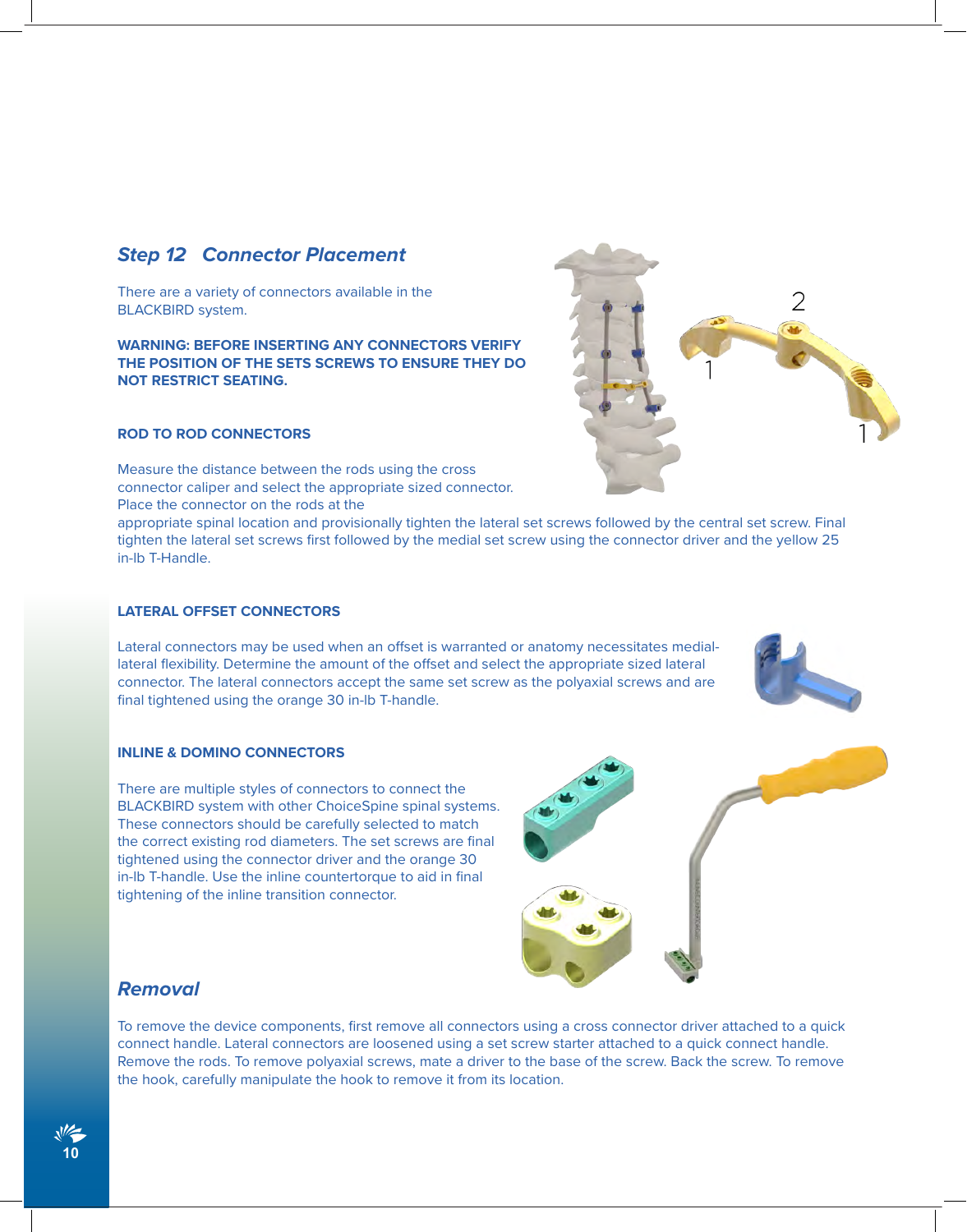#### *Step 12 Connector Placement*

There are a variety of connectors available in the BLACKBIRD system.

**WARNING: BEFORE INSERTING ANY CONNECTORS VERIFY THE POSITION OF THE SETS SCREWS TO ENSURE THEY DO NOT RESTRICT SEATING.**

#### **ROD TO ROD CONNECTORS**

Measure the distance between the rods using the cross connector caliper and select the appropriate sized connector. Place the connector on the rods at the

appropriate spinal location and provisionally tighten the lateral set screws followed by the central set screw. Final tighten the lateral set screws first followed by the medial set screw using the connector driver and the yellow 25 in-lb T-Handle.

#### **LATERAL OFFSET CONNECTORS**

Lateral connectors may be used when an offset is warranted or anatomy necessitates mediallateral flexibility. Determine the amount of the offset and select the appropriate sized lateral connector. The lateral connectors accept the same set screw as the polyaxial screws and are final tightened using the orange 30 in-lb T-handle.

#### **INLINE & DOMINO CONNECTORS**

There are multiple styles of connectors to connect the BLACKBIRD system with other ChoiceSpine spinal systems. These connectors should be carefully selected to match the correct existing rod diameters. The set screws are final tightened using the connector driver and the orange 30 in-lb T-handle. Use the inline countertorque to aid in final tightening of the inline transition connector.

*Removal*

To remove the device components, first remove all connectors using a cross connector driver attached to a quick connect handle. Lateral connectors are loosened using a set screw starter attached to a quick connect handle. Remove the rods. To remove polyaxial screws, mate a driver to the base of the screw. Back the screw. To remove the hook, carefully manipulate the hook to remove it from its location.







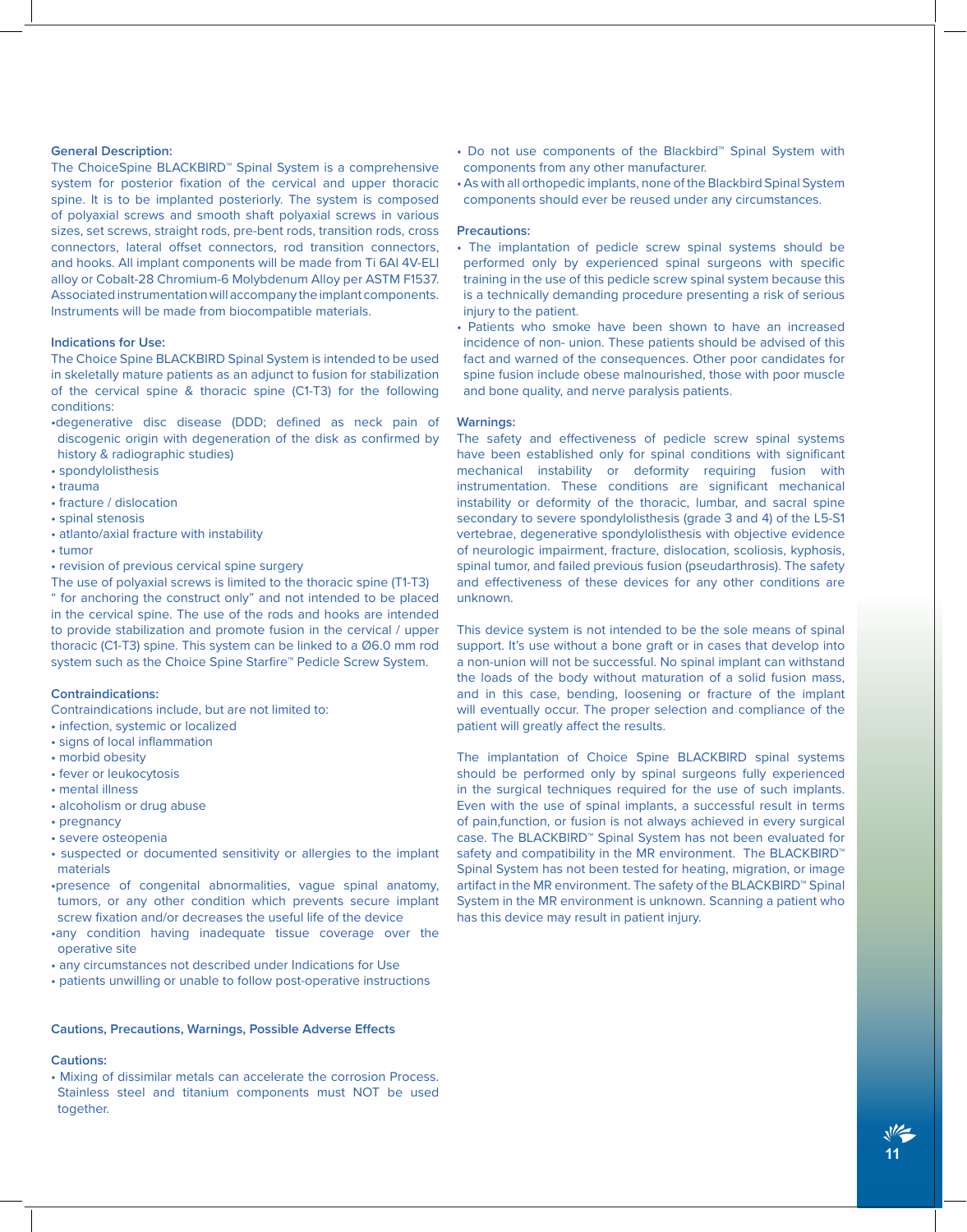#### **General Description:**

The ChoiceSpine BLACKBIRD™ Spinal System is a comprehensive system for posterior fixation of the cervical and upper thoracic spine. It is to be implanted posteriorly. The system is composed of polyaxial screws and smooth shaft polyaxial screws in various sizes, set screws, straight rods, pre-bent rods, transition rods, cross connectors, lateral offset connectors, rod transition connectors, and hooks. All implant components will be made from Ti 6Al 4V-ELI alloy or Cobalt-28 Chromium-6 Molybdenum Alloy per ASTM F1537. Associated instrumentation will accompany the implant components. Instruments will be made from biocompatible materials.

#### **Indications for Use:**

The Choice Spine BLACKBIRD Spinal System is intended to be used in skeletally mature patients as an adjunct to fusion for stabilization of the cervical spine & thoracic spine (C1-T3) for the following conditions:

- •degenerative disc disease (DDD; defined as neck pain of discogenic origin with degeneration of the disk as confirmed by history & radiographic studies)
- spondylolisthesis
- trauma
- fracture / dislocation
- spinal stenosis • atlanto/axial fracture with instability
- tumor
- revision of previous cervical spine surgery

The use of polyaxial screws is limited to the thoracic spine (T1-T3) " for anchoring the construct only" and not intended to be placed in the cervical spine. The use of the rods and hooks are intended to provide stabilization and promote fusion in the cervical / upper thoracic (C1-T3) spine. This system can be linked to a Ø6.0 mm rod system such as the Choice Spine Starfire™ Pedicle Screw System.

#### **Contraindications:**

Contraindications include, but are not limited to:

- infection, systemic or localized
- signs of local inflammation
- morbid obesity
- fever or leukocytosis
- mental illness
- alcoholism or drug abuse
- pregnancy
- severe osteopenia
- suspected or documented sensitivity or allergies to the implant materials
- •presence of congenital abnormalities, vague spinal anatomy, tumors, or any other condition which prevents secure implant screw fixation and/or decreases the useful life of the device
- •any condition having inadequate tissue coverage over the operative site
- any circumstances not described under Indications for Use
- patients unwilling or unable to follow post-operative instructions

#### **Cautions, Precautions, Warnings, Possible Adverse Effects**

#### **Cautions:**

• Mixing of dissimilar metals can accelerate the corrosion Process. Stainless steel and titanium components must NOT be used together.

- Do not use components of the Blackbird™ Spinal System with components from any other manufacturer.
- As with all orthopedic implants, none of the Blackbird Spinal System components should ever be reused under any circumstances.

#### **Precautions:**

- The implantation of pedicle screw spinal systems should be performed only by experienced spinal surgeons with specific training in the use of this pedicle screw spinal system because this is a technically demanding procedure presenting a risk of serious injury to the patient.
- Patients who smoke have been shown to have an increased incidence of non- union. These patients should be advised of this fact and warned of the consequences. Other poor candidates for spine fusion include obese malnourished, those with poor muscle and bone quality, and nerve paralysis patients.

#### **Warnings:**

The safety and effectiveness of pedicle screw spinal systems have been established only for spinal conditions with significant mechanical instability or deformity requiring fusion with instrumentation. These conditions are significant mechanical instability or deformity of the thoracic, lumbar, and sacral spine secondary to severe spondylolisthesis (grade 3 and 4) of the L5-S1 vertebrae, degenerative spondylolisthesis with objective evidence of neurologic impairment, fracture, dislocation, scoliosis, kyphosis, spinal tumor, and failed previous fusion (pseudarthrosis). The safety and effectiveness of these devices for any other conditions are unknown.

This device system is not intended to be the sole means of spinal support. It's use without a bone graft or in cases that develop into a non-union will not be successful. No spinal implant can withstand the loads of the body without maturation of a solid fusion mass, and in this case, bending, loosening or fracture of the implant will eventually occur. The proper selection and compliance of the patient will greatly affect the results.

The implantation of Choice Spine BLACKBIRD spinal systems should be performed only by spinal surgeons fully experienced in the surgical techniques required for the use of such implants. Even with the use of spinal implants, a successful result in terms of pain,function, or fusion is not always achieved in every surgical case. The BLACKBIRD™ Spinal System has not been evaluated for safety and compatibility in the MR environment. The BLACKBIRD™ Spinal System has not been tested for heating, migration, or image artifact in the MR environment. The safety of the BLACKBIRD™ Spinal System in the MR environment is unknown. Scanning a patient who has this device may result in patient injury.